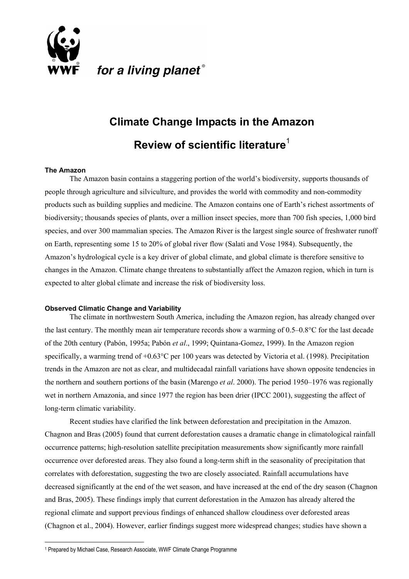

# **Climate Change Impacts in the Amazon Review of scientific literature**[1](#page-0-0)

### **The Amazon**

 $\overline{a}$ 

The Amazon basin contains a staggering portion of the world's biodiversity, supports thousands of people through agriculture and silviculture, and provides the world with commodity and non-commodity products such as building supplies and medicine. The Amazon contains one of Earth's richest assortments of biodiversity; thousands species of plants, over a million insect species, more than 700 fish species, 1,000 bird species, and over 300 mammalian species. The Amazon River is the largest single source of freshwater runoff on Earth, representing some 15 to 20% of global river flow (Salati and Vose 1984). Subsequently, the Amazon's hydrological cycle is a key driver of global climate, and global climate is therefore sensitive to changes in the Amazon. Climate change threatens to substantially affect the Amazon region, which in turn is expected to alter global climate and increase the risk of biodiversity loss.

### **Observed Climatic Change and Variability**

The climate in northwestern South America, including the Amazon region, has already changed over the last century. The monthly mean air temperature records show a warming of 0.5–0.8°C for the last decade of the 20th century (Pabón, 1995a; Pabón *et al*., 1999; Quintana-Gomez, 1999). In the Amazon region specifically, a warming trend of +0.63°C per 100 years was detected by Victoria et al. (1998). Precipitation trends in the Amazon are not as clear, and multidecadal rainfall variations have shown opposite tendencies in the northern and southern portions of the basin (Marengo *et al*. 2000). The period 1950–1976 was regionally wet in northern Amazonia, and since 1977 the region has been drier (IPCC 2001), suggesting the affect of long-term climatic variability.

Recent studies have clarified the link between deforestation and precipitation in the Amazon. Chagnon and Bras (2005) found that current deforestation causes a dramatic change in climatological rainfall occurrence patterns; high-resolution satellite precipitation measurements show significantly more rainfall occurrence over deforested areas. They also found a long-term shift in the seasonality of precipitation that correlates with deforestation, suggesting the two are closely associated. Rainfall accumulations have decreased significantly at the end of the wet season, and have increased at the end of the dry season (Chagnon and Bras, 2005). These findings imply that current deforestation in the Amazon has already altered the regional climate and support previous findings of enhanced shallow cloudiness over deforested areas (Chagnon et al., 2004). However, earlier findings suggest more widespread changes; studies have shown a

<span id="page-0-0"></span><sup>1</sup> Prepared by Michael Case, Research Associate, WWF Climate Change Programme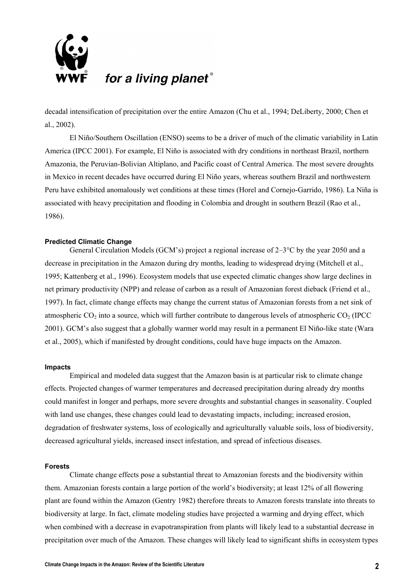

decadal intensification of precipitation over the entire Amazon (Chu et al., 1994; DeLiberty, 2000; Chen et al., 2002).

El Niño/Southern Oscillation (ENSO) seems to be a driver of much of the climatic variability in Latin America (IPCC 2001). For example, El Niño is associated with dry conditions in northeast Brazil, northern Amazonia, the Peruvian-Bolivian Altiplano, and Pacific coast of Central America. The most severe droughts in Mexico in recent decades have occurred during El Niño years, whereas southern Brazil and northwestern Peru have exhibited anomalously wet conditions at these times (Horel and Cornejo-Garrido, 1986). La Niña is associated with heavy precipitation and flooding in Colombia and drought in southern Brazil (Rao et al., 1986).

### **Predicted Climatic Change**

General Circulation Models (GCM's) project a regional increase of 2–3°C by the year 2050 and a decrease in precipitation in the Amazon during dry months, leading to widespread drying (Mitchell et al., 1995; Kattenberg et al., 1996). Ecosystem models that use expected climatic changes show large declines in net primary productivity (NPP) and release of carbon as a result of Amazonian forest dieback (Friend et al., 1997). In fact, climate change effects may change the current status of Amazonian forests from a net sink of atmospheric  $CO_2$  into a source, which will further contribute to dangerous levels of atmospheric  $CO_2$  (IPCC 2001). GCM's also suggest that a globally warmer world may result in a permanent El Niño-like state (Wara et al., 2005), which if manifested by drought conditions, could have huge impacts on the Amazon.

### **Impacts**

Empirical and modeled data suggest that the Amazon basin is at particular risk to climate change effects. Projected changes of warmer temperatures and decreased precipitation during already dry months could manifest in longer and perhaps, more severe droughts and substantial changes in seasonality. Coupled with land use changes, these changes could lead to devastating impacts, including; increased erosion, degradation of freshwater systems, loss of ecologically and agriculturally valuable soils, loss of biodiversity, decreased agricultural yields, increased insect infestation, and spread of infectious diseases.

### **Forests**

Climate change effects pose a substantial threat to Amazonian forests and the biodiversity within them. Amazonian forests contain a large portion of the world's biodiversity; at least 12% of all flowering plant are found within the Amazon (Gentry 1982) therefore threats to Amazon forests translate into threats to biodiversity at large. In fact, climate modeling studies have projected a warming and drying effect, which when combined with a decrease in evapotranspiration from plants will likely lead to a substantial decrease in precipitation over much of the Amazon. These changes will likely lead to significant shifts in ecosystem types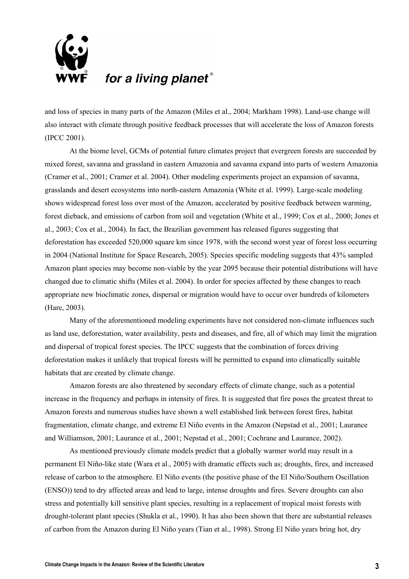

and loss of species in many parts of the Amazon (Miles et al., 2004; Markham 1998). Land-use change will also interact with climate through positive feedback processes that will accelerate the loss of Amazon forests (IPCC 2001).

At the biome level, GCMs of potential future climates project that evergreen forests are succeeded by mixed forest, savanna and grassland in eastern Amazonia and savanna expand into parts of western Amazonia (Cramer et al., 2001; Cramer et al. 2004). Other modeling experiments project an expansion of savanna, grasslands and desert ecosystems into north-eastern Amazonia (White et al. 1999). Large-scale modeling shows widespread forest loss over most of the Amazon, accelerated by positive feedback between warming, forest dieback, and emissions of carbon from soil and vegetation (White et al., 1999; Cox et al., 2000; Jones et al., 2003; Cox et al., 2004). In fact, the Brazilian government has released figures suggesting that deforestation has exceeded 520,000 square km since 1978, with the second worst year of forest loss occurring in 2004 (National Institute for Space Research, 2005). Species specific modeling suggests that 43% sampled Amazon plant species may become non-viable by the year 2095 because their potential distributions will have changed due to climatic shifts (Miles et al. 2004). In order for species affected by these changes to reach appropriate new bioclimatic zones, dispersal or migration would have to occur over hundreds of kilometers (Hare, 2003).

Many of the aforementioned modeling experiments have not considered non-climate influences such as land use, deforestation, water availability, pests and diseases, and fire, all of which may limit the migration and dispersal of tropical forest species. The IPCC suggests that the combination of forces driving deforestation makes it unlikely that tropical forests will be permitted to expand into climatically suitable habitats that are created by climate change.

Amazon forests are also threatened by secondary effects of climate change, such as a potential increase in the frequency and perhaps in intensity of fires. It is suggested that fire poses the greatest threat to Amazon forests and numerous studies have shown a well established link between forest fires, habitat fragmentation, climate change, and extreme El Niño events in the Amazon (Nepstad et al., 2001; Laurance and Williamson, 2001; Laurance et al., 2001; Nepstad et al., 2001; Cochrane and Laurance, 2002).

As mentioned previously climate models predict that a globally warmer world may result in a permanent El Niño-like state (Wara et al., 2005) with dramatic effects such as; droughts, fires, and increased release of carbon to the atmosphere. El Niño events (the positive phase of the El Niño/Southern Oscillation (ENSO)) tend to dry affected areas and lead to large, intense droughts and fires. Severe droughts can also stress and potentially kill sensitive plant species, resulting in a replacement of tropical moist forests with drought-tolerant plant species (Shukla et al., 1990). It has also been shown that there are substantial releases of carbon from the Amazon during El Niño years (Tian et al., 1998). Strong El Niño years bring hot, dry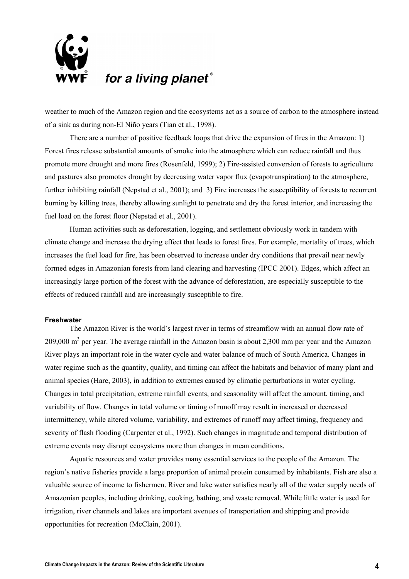

weather to much of the Amazon region and the ecosystems act as a source of carbon to the atmosphere instead of a sink as during non-El Niño years (Tian et al., 1998).

There are a number of positive feedback loops that drive the expansion of fires in the Amazon: 1) Forest fires release substantial amounts of smoke into the atmosphere which can reduce rainfall and thus promote more drought and more fires (Rosenfeld, 1999); 2) Fire-assisted conversion of forests to agriculture and pastures also promotes drought by decreasing water vapor flux (evapotranspiration) to the atmosphere, further inhibiting rainfall (Nepstad et al., 2001); and 3) Fire increases the susceptibility of forests to recurrent burning by killing trees, thereby allowing sunlight to penetrate and dry the forest interior, and increasing the fuel load on the forest floor (Nepstad et al., 2001).

 Human activities such as deforestation, logging, and settlement obviously work in tandem with climate change and increase the drying effect that leads to forest fires. For example, mortality of trees, which increases the fuel load for fire, has been observed to increase under dry conditions that prevail near newly formed edges in Amazonian forests from land clearing and harvesting (IPCC 2001). Edges, which affect an increasingly large portion of the forest with the advance of deforestation, are especially susceptible to the effects of reduced rainfall and are increasingly susceptible to fire.

### **Freshwater**

The Amazon River is the world's largest river in terms of streamflow with an annual flow rate of 209,000 m<sup>3</sup> per year. The average rainfall in the Amazon basin is about 2,300 mm per year and the Amazon River plays an important role in the water cycle and water balance of much of South America. Changes in water regime such as the quantity, quality, and timing can affect the habitats and behavior of many plant and animal species (Hare, 2003), in addition to extremes caused by climatic perturbations in water cycling. Changes in total precipitation, extreme rainfall events, and seasonality will affect the amount, timing, and variability of flow. Changes in total volume or timing of runoff may result in increased or decreased intermittency, while altered volume, variability, and extremes of runoff may affect timing, frequency and severity of flash flooding (Carpenter et al., 1992). Such changes in magnitude and temporal distribution of extreme events may disrupt ecosystems more than changes in mean conditions.

Aquatic resources and water provides many essential services to the people of the Amazon. The region's native fisheries provide a large proportion of animal protein consumed by inhabitants. Fish are also a valuable source of income to fishermen. River and lake water satisfies nearly all of the water supply needs of Amazonian peoples, including drinking, cooking, bathing, and waste removal. While little water is used for irrigation, river channels and lakes are important avenues of transportation and shipping and provide opportunities for recreation (McClain, 2001).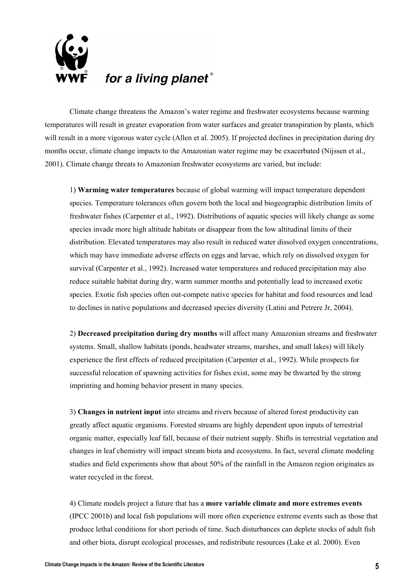

Climate change threatens the Amazon's water regime and freshwater ecosystems because warming temperatures will result in greater evaporation from water surfaces and greater transpiration by plants, which will result in a more vigorous water cycle (Allen et al. 2005). If projected declines in precipitation during dry months occur, climate change impacts to the Amazonian water regime may be exacerbated (Nijssen et al., 2001). Climate change threats to Amazonian freshwater ecosystems are varied, but include:

1) **Warming water temperatures** because of global warming will impact temperature dependent species. Temperature tolerances often govern both the local and biogeographic distribution limits of freshwater fishes (Carpenter et al., 1992). Distributions of aquatic species will likely change as some species invade more high altitude habitats or disappear from the low altitudinal limits of their distribution. Elevated temperatures may also result in reduced water dissolved oxygen concentrations, which may have immediate adverse effects on eggs and larvae, which rely on dissolved oxygen for survival (Carpenter et al., 1992). Increased water temperatures and reduced precipitation may also reduce suitable habitat during dry, warm summer months and potentially lead to increased exotic species. Exotic fish species often out-compete native species for habitat and food resources and lead to declines in native populations and decreased species diversity (Latini and Petrere Jr, 2004).

2) **Decreased precipitation during dry months** will affect many Amazonian streams and freshwater systems. Small, shallow habitats (ponds, headwater streams, marshes, and small lakes) will likely experience the first effects of reduced precipitation (Carpenter et al., 1992). While prospects for successful relocation of spawning activities for fishes exist, some may be thwarted by the strong imprinting and homing behavior present in many species.

3) **Changes in nutrient input** into streams and rivers because of altered forest productivity can greatly affect aquatic organisms. Forested streams are highly dependent upon inputs of terrestrial organic matter, especially leaf fall, because of their nutrient supply. Shifts in terrestrial vegetation and changes in leaf chemistry will impact stream biota and ecosystems. In fact, several climate modeling studies and field experiments show that about 50% of the rainfall in the Amazon region originates as water recycled in the forest.

4) Climate models project a future that has a **more variable climate and more extremes events** (IPCC 2001b) and local fish populations will more often experience extreme events such as those that produce lethal conditions for short periods of time. Such disturbances can deplete stocks of adult fish and other biota, disrupt ecological processes, and redistribute resources (Lake et al. 2000). Even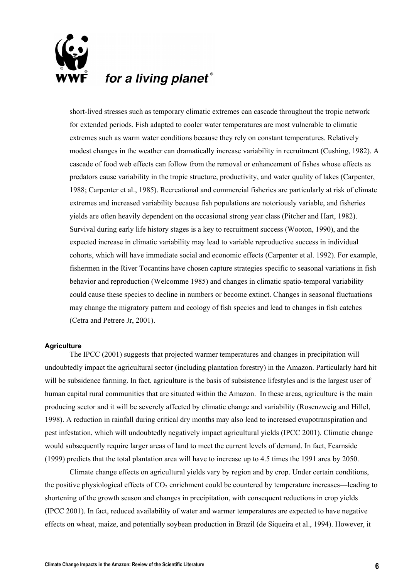

short-lived stresses such as temporary climatic extremes can cascade throughout the tropic network for extended periods. Fish adapted to cooler water temperatures are most vulnerable to climatic extremes such as warm water conditions because they rely on constant temperatures. Relatively modest changes in the weather can dramatically increase variability in recruitment (Cushing, 1982). A cascade of food web effects can follow from the removal or enhancement of fishes whose effects as predators cause variability in the tropic structure, productivity, and water quality of lakes (Carpenter, 1988; Carpenter et al., 1985). Recreational and commercial fisheries are particularly at risk of climate extremes and increased variability because fish populations are notoriously variable, and fisheries yields are often heavily dependent on the occasional strong year class (Pitcher and Hart, 1982). Survival during early life history stages is a key to recruitment success (Wooton, 1990), and the expected increase in climatic variability may lead to variable reproductive success in individual cohorts, which will have immediate social and economic effects (Carpenter et al. 1992). For example, fishermen in the River Tocantins have chosen capture strategies specific to seasonal variations in fish behavior and reproduction (Welcomme 1985) and changes in climatic spatio-temporal variability could cause these species to decline in numbers or become extinct. Changes in seasonal fluctuations may change the migratory pattern and ecology of fish species and lead to changes in fish catches (Cetra and Petrere Jr, 2001).

### **Agriculture**

The IPCC (2001) suggests that projected warmer temperatures and changes in precipitation will undoubtedly impact the agricultural sector (including plantation forestry) in the Amazon. Particularly hard hit will be subsidence farming. In fact, agriculture is the basis of subsistence lifestyles and is the largest user of human capital rural communities that are situated within the Amazon. In these areas, agriculture is the main producing sector and it will be severely affected by climatic change and variability (Rosenzweig and Hillel, 1998). A reduction in rainfall during critical dry months may also lead to increased evapotranspiration and pest infestation, which will undoubtedly negatively impact agricultural yields (IPCC 2001). Climatic change would subsequently require larger areas of land to meet the current levels of demand. In fact, Fearnside (1999) predicts that the total plantation area will have to increase up to 4.5 times the 1991 area by 2050.

Climate change effects on agricultural yields vary by region and by crop. Under certain conditions, the positive physiological effects of  $CO<sub>2</sub>$  enrichment could be countered by temperature increases—leading to shortening of the growth season and changes in precipitation, with consequent reductions in crop yields (IPCC 2001). In fact, reduced availability of water and warmer temperatures are expected to have negative effects on wheat, maize, and potentially soybean production in Brazil (de Siqueira et al., 1994). However, it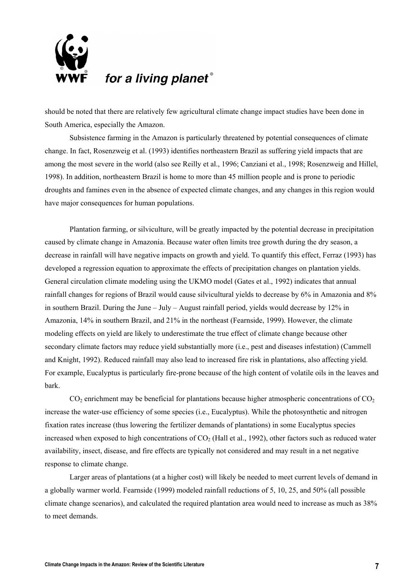

should be noted that there are relatively few agricultural climate change impact studies have been done in South America, especially the Amazon.

Subsistence farming in the Amazon is particularly threatened by potential consequences of climate change. In fact, Rosenzweig et al. (1993) identifies northeastern Brazil as suffering yield impacts that are among the most severe in the world (also see Reilly et al., 1996; Canziani et al., 1998; Rosenzweig and Hillel, 1998). In addition, northeastern Brazil is home to more than 45 million people and is prone to periodic droughts and famines even in the absence of expected climate changes, and any changes in this region would have major consequences for human populations.

Plantation farming, or silviculture, will be greatly impacted by the potential decrease in precipitation caused by climate change in Amazonia. Because water often limits tree growth during the dry season, a decrease in rainfall will have negative impacts on growth and yield. To quantify this effect, Ferraz (1993) has developed a regression equation to approximate the effects of precipitation changes on plantation yields. General circulation climate modeling using the UKMO model (Gates et al., 1992) indicates that annual rainfall changes for regions of Brazil would cause silvicultural yields to decrease by 6% in Amazonia and 8% in southern Brazil. During the June – July – August rainfall period, yields would decrease by 12% in Amazonia, 14% in southern Brazil, and 21% in the northeast (Fearnside, 1999). However, the climate modeling effects on yield are likely to underestimate the true effect of climate change because other secondary climate factors may reduce yield substantially more (i.e., pest and diseases infestation) (Cammell and Knight, 1992). Reduced rainfall may also lead to increased fire risk in plantations, also affecting yield. For example, Eucalyptus is particularly fire-prone because of the high content of volatile oils in the leaves and bark.

 $CO<sub>2</sub>$  enrichment may be beneficial for plantations because higher atmospheric concentrations of  $CO<sub>2</sub>$ increase the water-use efficiency of some species (i.e., Eucalyptus). While the photosynthetic and nitrogen fixation rates increase (thus lowering the fertilizer demands of plantations) in some Eucalyptus species increased when exposed to high concentrations of  $CO<sub>2</sub>$  (Hall et al., 1992), other factors such as reduced water availability, insect, disease, and fire effects are typically not considered and may result in a net negative response to climate change.

Larger areas of plantations (at a higher cost) will likely be needed to meet current levels of demand in a globally warmer world. Fearnside (1999) modeled rainfall reductions of 5, 10, 25, and 50% (all possible climate change scenarios), and calculated the required plantation area would need to increase as much as 38% to meet demands.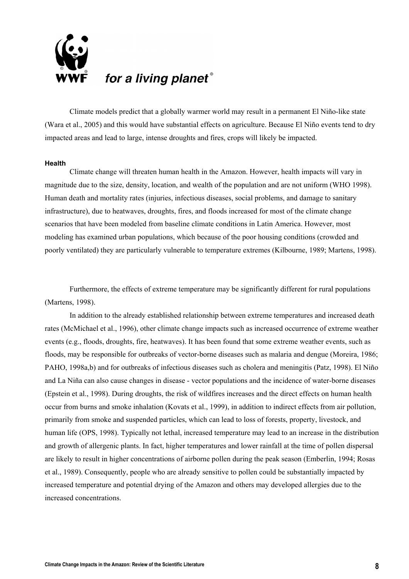

Climate models predict that a globally warmer world may result in a permanent El Niño-like state (Wara et al., 2005) and this would have substantial effects on agriculture. Because El Niño events tend to dry impacted areas and lead to large, intense droughts and fires, crops will likely be impacted.

#### **Health**

Climate change will threaten human health in the Amazon. However, health impacts will vary in magnitude due to the size, density, location, and wealth of the population and are not uniform (WHO 1998). Human death and mortality rates (injuries, infectious diseases, social problems, and damage to sanitary infrastructure), due to heatwaves, droughts, fires, and floods increased for most of the climate change scenarios that have been modeled from baseline climate conditions in Latin America. However, most modeling has examined urban populations, which because of the poor housing conditions (crowded and poorly ventilated) they are particularly vulnerable to temperature extremes (Kilbourne, 1989; Martens, 1998).

Furthermore, the effects of extreme temperature may be significantly different for rural populations (Martens, 1998).

In addition to the already established relationship between extreme temperatures and increased death rates (McMichael et al., 1996), other climate change impacts such as increased occurrence of extreme weather events (e.g., floods, droughts, fire, heatwaves). It has been found that some extreme weather events, such as floods, may be responsible for outbreaks of vector-borne diseases such as malaria and dengue (Moreira, 1986; PAHO, 1998a,b) and for outbreaks of infectious diseases such as cholera and meningitis (Patz, 1998). El Niño and La Niña can also cause changes in disease - vector populations and the incidence of water-borne diseases (Epstein et al., 1998). During droughts, the risk of wildfires increases and the direct effects on human health occur from burns and smoke inhalation (Kovats et al., 1999), in addition to indirect effects from air pollution, primarily from smoke and suspended particles, which can lead to loss of forests, property, livestock, and human life (OPS, 1998). Typically not lethal, increased temperature may lead to an increase in the distribution and growth of allergenic plants. In fact, higher temperatures and lower rainfall at the time of pollen dispersal are likely to result in higher concentrations of airborne pollen during the peak season (Emberlin, 1994; Rosas et al., 1989). Consequently, people who are already sensitive to pollen could be substantially impacted by increased temperature and potential drying of the Amazon and others may developed allergies due to the increased concentrations.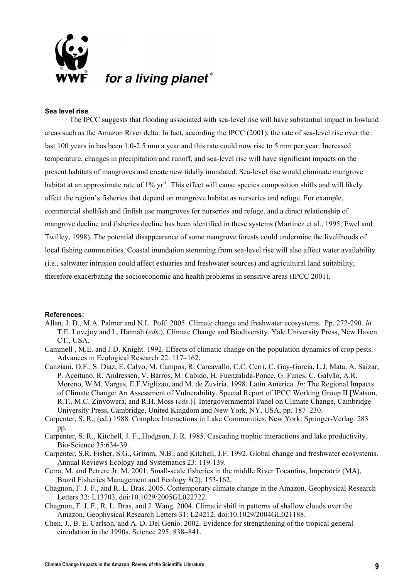

### **Sea level rise**

The IPCC suggests that flooding associated with sea-level rise will have substantial impact in lowland areas such as the Amazon River delta. In fact, according the IPCC (2001), the rate of sea-level rise over the last 100 years in has been 1.0-2.5 mm a year and this rate could now rise to 5 mm per year. Increased temperature, changes in precipitation and runoff, and sea-level rise will have significant impacts on the present habitats of mangroves and create new tidally inundated. Sea-level rise would eliminate mangrove habitat at an approximate rate of  $1\%$  yr<sup>-1</sup>. This effect will cause species composition shifts and will likely affect the region's fisheries that depend on mangrove habitat as nurseries and refuge. For example, commercial shellfish and finfish use mangroves for nurseries and refuge, and a direct relationship of mangrove decline and fisheries decline has been identified in these systems (Martínez et al., 1995; Ewel and Twilley, 1998). The potential disappearance of some mangrove forests could undermine the livelihoods of local fishing communities. Coastal inundation stemming from sea-level rise will also affect water availability (i.e., saltwater intrusion could affect estuaries and freshwater sources) and agricultural land suitability, therefore exacerbating the socioeconomic and health problems in sensitive areas (IPCC 2001).

#### **References:**

- Allan, J. D., M.A. Palmer and N.L. Poff. 2005. Climate change and freshwater ecosystems. Pp. 272-290. *In* T.E. Lovejoy and L. Hannah (*eds*.), Climate Change and Biodiversity. Yale University Press, New Haven CT., USA.
- Cammell , M.E. and J.D. Knight. 1992. Effects of climatic change on the population dynamics of crop pests. Advances in Ecological Research 22: 117–162.
- Canziani, O.F., S. Díaz, E. Calvo, M. Campos, R. Carcavallo, C.C. Cerri, C. Gay-García, L.J. Mata, A. Saizar, P. Aceituno, R. Andressen, V. Barros, M. Cabido, H. Fuenzalida-Ponce, G. Funes, C. Galvão, A.R. Moreno, W.M. Vargas, E.F.Viglizao, and M. de Zuviría. 1998. Latin America. *In*: The Regional Impacts of Climate Change: An Assessment of Vulnerability. Special Report of IPCC Working Group II [Watson, R.T., M.C. Zinyowera, and R.H. Moss (*eds*.)]. Intergovernmental Panel on Climate Change, Cambridge University Press, Cambridge, United Kingdom and New York, NY, USA, pp. 187–230.
- Carpenter, S. R., (ed.) 1988. Complex Interactions in Lake Communities. New York: Springer-Verlag. 283 pp.
- Carpenter, S. R., Kitchell, J. F., Hodgson, J. R. 1985. Cascading trophic interactions and lake productivity. Bio-Science 35:634-39.
- Carpenter, S.R. Fisher, S.G., Grimm, N.B., and Kitchell, J.F. 1992. Global change and freshwater ecosystems. Annual Reviews Ecology and Systematics 23: 119-139.
- Cetra, M. and Petrere Jr, M. 2001. Small-scale fisheries in the middle River Tocantins, Imperatriz (MA), Brazil Fisheries Management and Ecology 8(2): 153-162.
- Chagnon, F. J. F., and R. L. Bras. 2005. Contemporary climate change in the Amazon. Geophysical Research Letters 32: L13703, doi:10.1029/2005GL022722.
- Chagnon, F. J. F., R. L. Bras, and J. Wang. 2004. Climatic shift in patterns of shallow clouds over the Amazon, Geophysical Research Letters 31: L24212, doi:10.1029/2004GL021188.
- Chen, J., B. E. Carlson, and A. D. Del Genio. 2002. Evidence for strengthening of the tropical general circulation in the 1990s. Science 295: 838–841.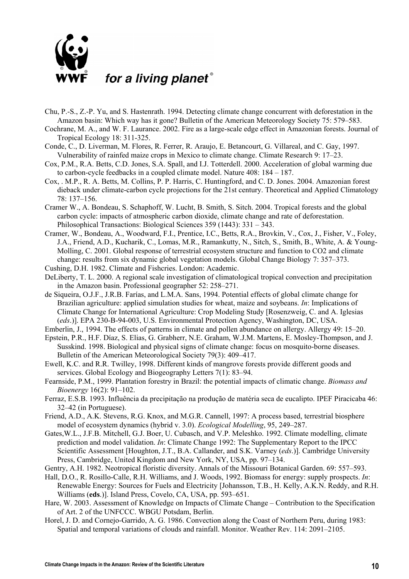

- Chu, P.-S., Z.-P. Yu, and S. Hastenrath. 1994. Detecting climate change concurrent with deforestation in the Amazon basin: Which way has it gone? Bulletin of the American Meteorology Society 75: 579–583.
- Cochrane, M. A., and W. F. Laurance. 2002. Fire as a large-scale edge effect in Amazonian forests. Journal of Tropical Ecology 18: 311-325.
- Conde, C., D. Liverman, M. Flores, R. Ferrer, R. Araujo, E. Betancourt, G. Villareal, and C. Gay, 1997. Vulnerability of rainfed maize crops in Mexico to climate change. Climate Research 9: 17–23.
- Cox, P.M., R.A. Betts, C.D. Jones, S.A. Spall, and I.J. Totterdell. 2000. Acceleration of global warming due to carbon-cycle feedbacks in a coupled climate model. Nature 408: 184 – 187.
- Cox, . M.P., R. A. Betts, M. Collins, P. P. Harris, C. Huntingford, and C. D. Jones. 2004. Amazonian forest dieback under climate-carbon cycle projections for the 21st century. Theoretical and Applied Climatology 78: 137–156.
- Cramer W., A. Bondeau, S. Schaphoff, W. Lucht, B. Smith, S. Sitch. 2004. Tropical forests and the global carbon cycle: impacts of atmospheric carbon dioxide, climate change and rate of deforestation. Philosophical Transactions: Biological Sciences 359 (1443): 331 – 343.
- Cramer, W., Bondeau, A., Woodward, F.I., Prentice, I.C., Betts, R.A., Brovkin, V., Cox, J., Fisher, V., Foley, J.A., Friend, A.D., Kucharik, C., Lomas, M.R., Ramankutty, N., Sitch, S., Smith, B., White, A. & Young-Molling, C. 2001. Global response of terrestrial ecosystem structure and function to CO2 and climate change: results from six dynamic global vegetation models. Global Change Biology 7: 357–373.
- Cushing, D.H. 1982. Climate and Fishcries. London: Academic.

DeLiberty, T. L. 2000. A regional scale investigation of climatological tropical convection and precipitation in the Amazon basin. Professional geographer 52: 258–271.

de Siqueira, O.J.F., J.R.B. Farías, and L.M.A. Sans, 1994. Potential effects of global climate change for Brazilian agriculture: applied simulation studies for wheat, maize and soybeans. *In*: Implications of Climate Change for International Agriculture: Crop Modeling Study [Rosenzweig, C. and A. Iglesias (*eds*.)]. EPA 230-B-94-003, U.S. Environmental Protection Agency, Washington, DC, USA.

Emberlin, J., 1994. The effects of patterns in climate and pollen abundance on allergy. Allergy 49: 15–20.

- Epstein, P.R., H.F. Díaz, S. Elias, G. Grabherr, N.E. Graham, W.J.M. Martens, E. Mosley-Thompson, and J. Susskind. 1998. Biological and physical signs of climate change: focus on mosquito-borne diseases. Bulletin of the American Meteorological Society 79(3): 409–417.
- Ewell, K.C. and R.R. Twilley, 1998. Different kinds of mangrove forests provide different goods and services. Global Ecology and Biogeography Letters 7(1): 83–94.
- Fearnside, P.M., 1999. Plantation forestry in Brazil: the potential impacts of climatic change. *Biomass and Bioenergy* 16(2): 91–102.
- Ferraz, E.S.B. 1993. Influência da precipitação na produção de matéria seca de eucalipto. IPEF Piracicaba 46: 32–42 (in Portuguese).
- Friend, A.D., A.K. Stevens, R.G. Knox, and M.G.R. Cannell, 1997: A process based, terrestrial biosphere model of ecosystem dynamics (hybrid v. 3.0). *Ecological Modelling*, 95, 249–287.
- Gates,W.L., J.F.B. Mitchell, G.J. Boer, U. Cubasch, and V.P. Meleshko. 1992. Climate modelling, climate prediction and model validation. *In*: Climate Change 1992: The Supplementary Report to the IPCC Scientific Assessment [Houghton, J.T., B.A. Callander, and S.K. Varney (*eds*.)]. Cambridge University Press, Cambridge, United Kingdom and New York, NY, USA, pp. 97–134.
- Gentry, A.H. 1982. Neotropical floristic diversity. Annals of the Missouri Botanical Garden. 69: 557–593.
- Hall, D.O., R. Rosillo-Calle, R.H. Williams, and J. Woods, 1992. Biomass for energy: supply prospects. *In*: Renewable Energy: Sources for Fuels and Electricity [Johansson, T.B., H. Kelly, A.K.N. Reddy, and R.H. Williams (**eds**.)]. Island Press, Covelo, CA, USA, pp. 593–651.
- Hare, W. 2003. Assessment of Knowledge on Impacts of Climate Change Contribution to the Specification of Art. 2 of the UNFCCC. WBGU Potsdam, Berlin.
- Horel, J. D. and Cornejo-Garrido, A. G. 1986. Convection along the Coast of Northern Peru, during 1983: Spatial and temporal variations of clouds and rainfall. Monitor. Weather Rev. 114: 2091–2105.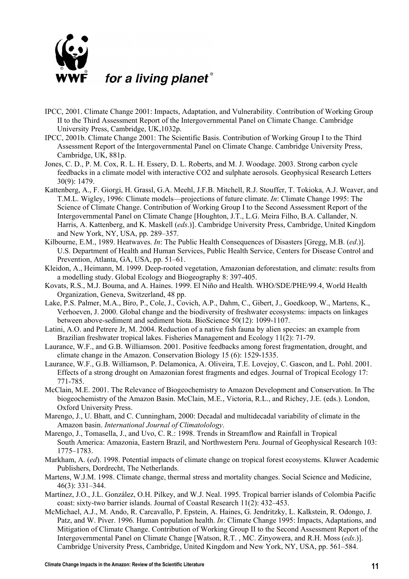

- IPCC, 2001. Climate Change 2001: Impacts, Adaptation, and Vulnerability. Contribution of Working Group II to the Third Assessment Report of the Intergovernmental Panel on Climate Change. Cambridge University Press, Cambridge, UK,1032p.
- IPCC, 2001b. Climate Change 2001: The Scientific Basis. Contribution of Working Group I to the Third Assessment Report of the Intergovernmental Panel on Climate Change. Cambridge University Press, Cambridge, UK, 881p.
- Jones, C. D., P. M. Cox, R. L. H. Essery, D. L. Roberts, and M. J. Woodage. 2003. Strong carbon cycle feedbacks in a climate model with interactive CO2 and sulphate aerosols. Geophysical Research Letters 30(9): 1479.
- Kattenberg, A., F. Giorgi, H. Grassl, G.A. Meehl, J.F.B. Mitchell, R.J. Stouffer, T. Tokioka, A.J. Weaver, and T.M.L. Wigley, 1996: Climate models—projections of future climate. *In*: Climate Change 1995: The Science of Climate Change. Contribution of Working Group I to the Second Assessment Report of the Intergovernmental Panel on Climate Change [Houghton, J.T., L.G. Meira Filho, B.A. Callander, N. Harris, A. Kattenberg, and K. Maskell (*eds*.)]. Cambridge University Press, Cambridge, United Kingdom and New York, NY, USA, pp. 289–357.
- Kilbourne, E.M., 1989. Heatwaves. *In*: The Public Health Consequences of Disasters [Gregg, M.B. (*ed*.)]. U.S. Department of Health and Human Services, Public Health Service, Centers for Disease Control and Prevention, Atlanta, GA, USA, pp. 51–61.
- Kleidon, A., Heimann, M. 1999. Deep-rooted vegetation, Amazonian deforestation, and climate: results from a modelling study. Global Ecology and Biogeography 8: 397-405.
- Kovats, R.S., M.J. Bouma, and A. Haines. 1999. El Niño and Health. WHO/SDE/PHE/99.4, World Health Organization, Geneva, Switzerland, 48 pp.
- Lake, P.S. Palmer, M.A., Biro, P., Cole, J., Covich, A.P., Dahm, C., Gibert, J., Goedkoop, W., Martens, K., Verhoeven, J. 2000. Global change and the biodiversity of freshwater ecosystems: impacts on linkages between above-sediment and sediment biota. BioScience 50(12): 1099-1107.
- Latini, A.O. and Petrere Jr, M. 2004. Reduction of a native fish fauna by alien species: an example from Brazilian freshwater tropical lakes. Fisheries Management and Ecology 11(2): 71-79.
- Laurance, W.F., and G.B. Williamson. 2001. Positive feedbacks among forest fragmentation, drought, and climate change in the Amazon. Conservation Biology 15 (6): 1529-1535.
- Laurance, W.F., G.B. Williamson, P. Delamonica, A. Oliveira, T.E. Lovejoy, C. Gascon, and L. Pohl. 2001. Effects of a strong drought on Amazonian forest fragments and edges. Journal of Tropical Ecology 17: 771-785.
- McClain, M.E. 2001. The Relevance of Biogeochemistry to Amazon Development and Conservation. In The biogeochemistry of the Amazon Basin. McClain, M.E., Victoria, R.L., and Richey, J.E. (eds.). London, Oxford University Press.
- Marengo, J., U. Bhatt, and C. Cunningham, 2000: Decadal and multidecadal variability of climate in the Amazon basin. *International Journal of Climatolology*.
- Marengo, J., Tomasella, J., and Uvo, C. R.: 1998. Trends in Streamflow and Rainfall in Tropical South America: Amazonia, Eastern Brazil, and Northwestern Peru. Journal of Geophysical Research 103: 1775–1783.
- Markham, A. (*ed*). 1998. Potential impacts of climate change on tropical forest ecosystems. Kluwer Academic Publishers, Dordrecht, The Netherlands.
- Martens, W.J.M. 1998. Climate change, thermal stress and mortality changes. Social Science and Medicine, 46(3): 331–344.
- Martínez, J.O., J.L. González, O.H. Pilkey, and W.J. Neal. 1995. Tropical barrier islands of Colombia Pacific coast: sixty-two barrier islands. Journal of Coastal Research 11(2): 432–453.
- McMichael, A.J., M. Ando, R. Carcavallo, P. Epstein, A. Haines, G. Jendritzky, L. Kalkstein, R. Odongo, J. Patz, and W. Piver. 1996. Human population health. *In*: Climate Change 1995: Impacts, Adaptations, and Mitigation of Climate Change. Contribution of Working Group II to the Second Assessment Report of the Intergovernmental Panel on Climate Change [Watson, R.T. , MC. Zinyowera, and R.H. Moss (*eds*.)]. Cambridge University Press, Cambridge, United Kingdom and New York, NY, USA, pp. 561–584.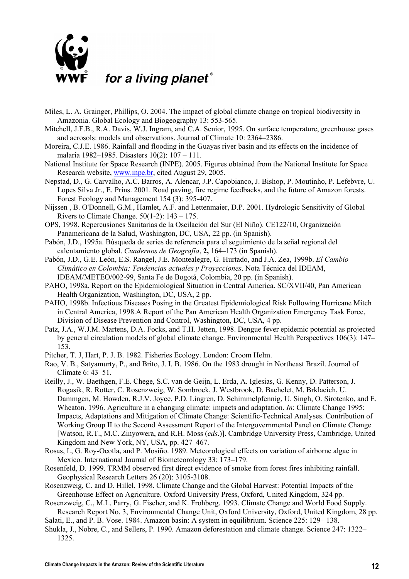

- Miles, L. A. Grainger, Phillips, O. 2004. The impact of global climate change on tropical biodiversity in Amazonia. Global Ecology and Biogeography 13: 553-565.
- Mitchell, J.F.B., R.A. Davis, W.J. Ingram, and C.A. Senior, 1995. On surface temperature, greenhouse gases and aerosols: models and observations. Journal of Climate 10: 2364–2386.
- Moreira, C.J.E. 1986. Rainfall and flooding in the Guayas river basin and its effects on the incidence of malaria 1982–1985. Disasters 10(2): 107 – 111.
- National Institute for Space Research (INPE). 2005. Figures obtained from the National Institute for Space Research website, [www.inpe.br,](http://www.inpe.br/) cited August 29, 2005.
- Nepstad, D., G. Carvalho, A.C. Barros, A. Alencar, J.P. Capobianco, J. Bishop, P. Moutinho, P. Lefebvre, U. Lopes Silva Jr., E. Prins. 2001. Road paving, fire regime feedbacks, and the future of Amazon forests. Forest Ecology and Management 154 (3): 395-407.
- Nijssen , B. O'Donnell, G.M., Hamlet, A.F. and Lettenmaier, D.P. 2001. Hydrologic Sensitivity of Global Rivers to Climate Change.  $50(1-2)$ :  $143 - 175$ .
- OPS, 1998. Repercusiones Sanitarias de la Oscilación del Sur (El Niño). CE122/10, Organización Panamericana de la Salud, Washington, DC, USA, 22 pp. (in Spanish).
- Pabón, J.D., 1995a. Búsqueda de series de referencia para el seguimiento de la señal regional del calentamiento global. *Cuadernos de Geografía*, **2,** 164–173 (in Spanish).
- Pabón, J.D., G.E. León, E.S. Rangel, J.E. Montealegre, G. Hurtado, and J.A. Zea, 1999b. *El Cambio Climático en Colombia: Tendencias actuales y Proyecciones*. Nota Técnica del IDEAM, IDEAM/METEO/002-99, Santa Fe de Bogotá, Colombia, 20 pp. (in Spanish).
- PAHO, 1998a. Report on the Epidemiological Situation in Central America. SC/XVII/40, Pan American Health Organization, Washington, DC, USA, 2 pp.
- PAHO, 1998b. Infectious Diseases Posing in the Greatest Epidemiological Risk Following Hurricane Mitch in Central America, 1998.A Report of the Pan American Health Organization Emergency Task Force, Division of Disease Prevention and Control, Washington, DC, USA, 4 pp.
- Patz, J.A., W.J.M. Martens, D.A. Focks, and T.H. Jetten, 1998. Dengue fever epidemic potential as projected by general circulation models of global climate change. Environmental Health Perspectives 106(3): 147– 153.
- Pitcher, T. J, Hart, P. J. B. 1982. Fisheries Ecology. London: Croom Helm.
- Rao, V. B., Satyamurty, P., and Brito, J. I. B. 1986. On the 1983 drought in Northeast Brazil. Journal of Climate 6: 43–51.
- Reilly, J., W. Baethgen, F.E. Chege, S.C. van de Geijn, L. Erda, A. Iglesias, G. Kenny, D. Patterson, J. Rogasik, R. Rotter, C. Rosenzweig, W. Sombroek, J. Westbrook, D. Bachelet, M. Brklacich, U. Dammgen, M. Howden, R.J.V. Joyce, P.D. Lingren, D. Schimmelpfennig, U. Singh, O. Sirotenko, and E. Wheaton. 1996. Agriculture in a changing climate: impacts and adaptation. *In*: Climate Change 1995: Impacts, Adaptations and Mitigation of Climate Change: Scientific-Technical Analyses. Contribution of Working Group II to the Second Assessment Report of the Intergovernmental Panel on Climate Change [Watson, R.T., M.C. Zinyowera, and R.H. Moss (*eds*.)]. Cambridge University Press, Cambridge, United Kingdom and New York, NY, USA, pp. 427–467.
- Rosas, I., G. Roy-Ocotla, and P. Mosiño. 1989. Meteorological effects on variation of airborne algae in Mexico. International Journal of Biometeorology 33: 173–179.
- Rosenfeld, D. 1999. TRMM observed first direct evidence of smoke from forest fires inhibiting rainfall. Geophysical Research Letters 26 (20): 3105-3108.
- Rosenzweig, C. and D. Hillel, 1998. Climate Change and the Global Harvest: Potential Impacts of the Greenhouse Effect on Agriculture. Oxford University Press, Oxford, United Kingdom, 324 pp.
- Rosenzweig, C., M.L. Parry, G. Fischer, and K. Frohberg. 1993. Climate Change and World Food Supply.
- Research Report No. 3, Environmental Change Unit, Oxford University, Oxford, United Kingdom, 28 pp. Salati, E., and P. B. Vose. 1984. Amazon basin: A system in equilibrium. Science 225: 129– 138.
- Shukla, J., Nobre, C., and Sellers, P. 1990. Amazon deforestation and climate change. Science 247: 1322– 1325.